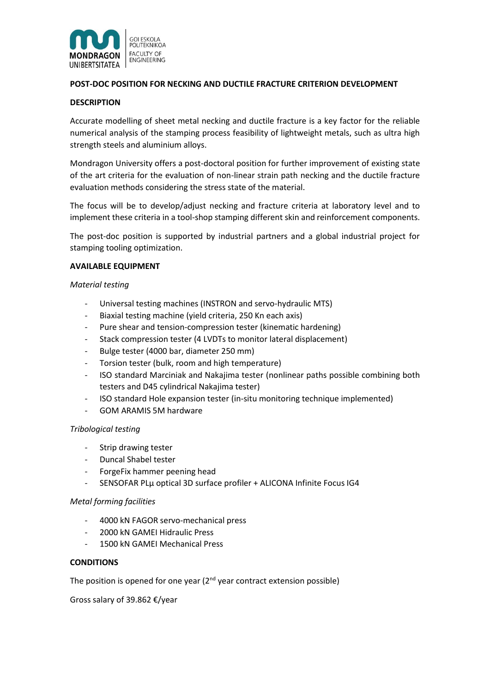

# **POST-DOC POSITION FOR NECKING AND DUCTILE FRACTURE CRITERION DEVELOPMENT**

#### **DESCRIPTION**

Accurate modelling of sheet metal necking and ductile fracture is a key factor for the reliable numerical analysis of the stamping process feasibility of lightweight metals, such as ultra high strength steels and aluminium alloys.

Mondragon University offers a post-doctoral position for further improvement of existing state of the art criteria for the evaluation of non-linear strain path necking and the ductile fracture evaluation methods considering the stress state of the material.

The focus will be to develop/adjust necking and fracture criteria at laboratory level and to implement these criteria in a tool-shop stamping different skin and reinforcement components.

The post-doc position is supported by industrial partners and a global industrial project for stamping tooling optimization.

#### **AVAILABLE EQUIPMENT**

#### *Material testing*

- Universal testing machines (INSTRON and servo-hydraulic MTS)
- Biaxial testing machine (yield criteria, 250 Kn each axis)
- Pure shear and tension-compression tester (kinematic hardening)
- Stack compression tester (4 LVDTs to monitor lateral displacement)
- Bulge tester (4000 bar, diameter 250 mm)
- Torsion tester (bulk, room and high temperature)
- ISO standard Marciniak and Nakajima tester (nonlinear paths possible combining both testers and D45 cylindrical Nakajima tester)
- ISO standard Hole expansion tester (in-situ monitoring technique implemented)
- GOM ARAMIS 5M hardware

### *Tribological testing*

- Strip drawing tester
- Duncal Shabel tester
- ForgeFix hammer peening head
- SENSOFAR PLµ optical 3D surface profiler + ALICONA Infinite Focus IG4

### *Metal forming facilities*

- 4000 kN FAGOR servo-mechanical press
- 2000 kN GAMEI Hidraulic Press
- 1500 kN GAMEI Mechanical Press

### **CONDITIONS**

The position is opened for one year  $(2^{nd}$  year contract extension possible)

Gross salary of 39.862 €/year